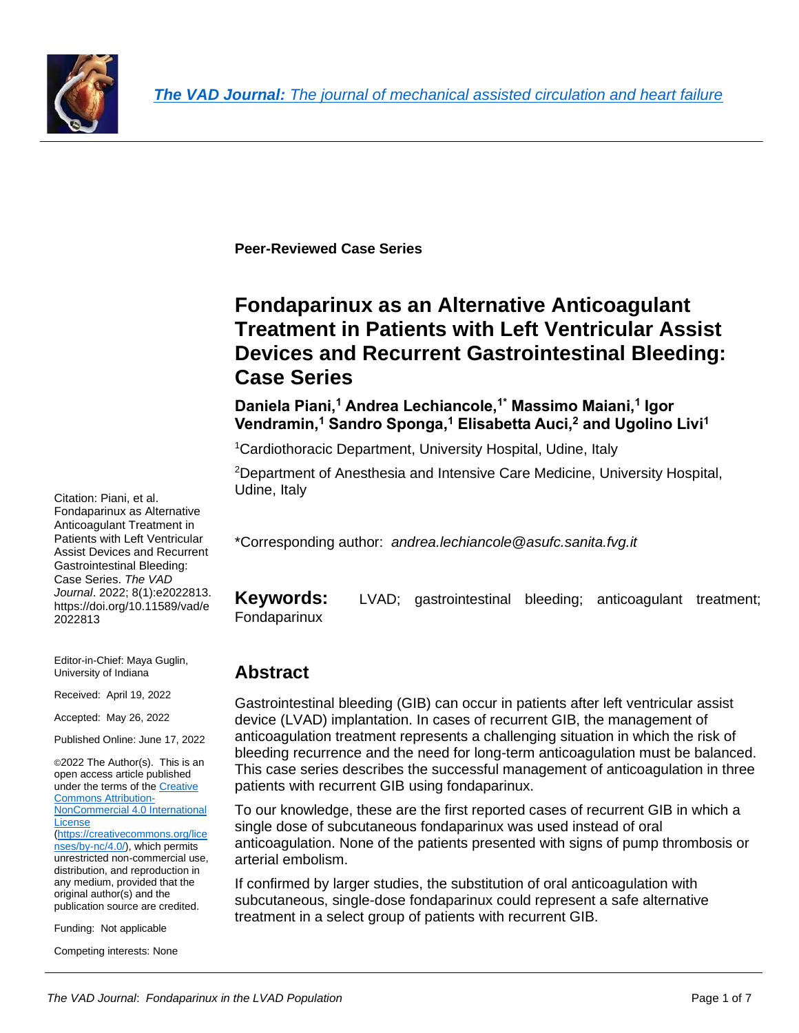

**Peer-Reviewed Case Series** 

# **Fondaparinux as an Alternative Anticoagulant Treatment in Patients with Left Ventricular Assist Devices and Recurrent Gastrointestinal Bleeding: Case Series**

**Daniela Piani,<sup>1</sup> Andrea Lechiancole,1\* Massimo Maiani,<sup>1</sup> Igor Vendramin,<sup>1</sup> Sandro Sponga,<sup>1</sup> Elisabetta Auci,<sup>2</sup> and Ugolino Livi<sup>1</sup>**

<sup>1</sup>Cardiothoracic Department, University Hospital, Udine, Italy

<sup>2</sup>Department of Anesthesia and Intensive Care Medicine, University Hospital, Udine, Italy

\*Corresponding author: *andrea.lechiancole*@*asufc.sanita.fvg.it*

**Keywords:** LVAD; gastrointestinal bleeding; anticoagulant treatment; Fondaparinux

## **Abstract**

Gastrointestinal bleeding (GIB) can occur in patients after left ventricular assist device (LVAD) implantation. In cases of recurrent GIB, the management of anticoagulation treatment represents a challenging situation in which the risk of bleeding recurrence and the need for long-term anticoagulation must be balanced. This case series describes the successful management of anticoagulation in three patients with recurrent GIB using fondaparinux.

To our knowledge, these are the first reported cases of recurrent GIB in which a single dose of subcutaneous fondaparinux was used instead of oral anticoagulation. None of the patients presented with signs of pump thrombosis or arterial embolism.

If confirmed by larger studies, the substitution of oral anticoagulation with subcutaneous, single-dose fondaparinux could represent a safe alternative treatment in a select group of patients with recurrent GIB.

Citation: Piani, et al. Fondaparinux as Alternative Anticoagulant Treatment in Patients with Left Ventricular Assist Devices and Recurrent Gastrointestinal Bleeding: Case Series. *The VAD Journal*. 2022; 8(1):e2022813. https://doi.org/10.11589/vad/e 2022813

Editor-in-Chief: Maya Guglin, University of Indiana

Received: April 19, 2022

Accepted: May 26, 2022

Published Online: June 17, 2022

©2022 The Author(s). This is an open access article published under the terms of the [Creative](http://creativecommons.org/licenses/by-nc/4.0/)  [Commons Attribution-](http://creativecommons.org/licenses/by-nc/4.0/)[NonCommercial 4.0 International](http://creativecommons.org/licenses/by-nc/4.0/)  [License](http://creativecommons.org/licenses/by-nc/4.0/) [\(https://creativecommons.org/lice](https://creativecommons.org/licenses/by-nc/4.0/) [nses/by-nc/4.0/\)](https://creativecommons.org/licenses/by-nc/4.0/), which permits unrestricted non-commercial use, distribution, and reproduction in any medium, provided that the original author(s) and the publication source are credited.

Funding: Not applicable

Competing interests: None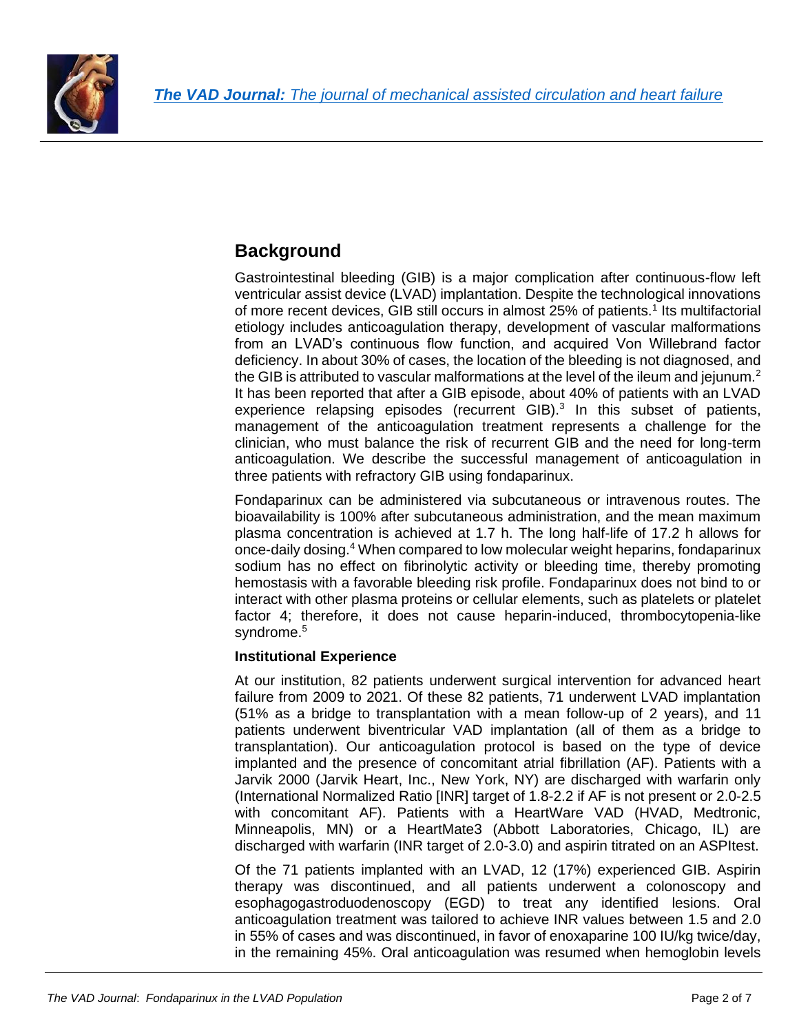

## **Background**

Gastrointestinal bleeding (GIB) is a major complication after continuous-flow left ventricular assist device (LVAD) implantation. Despite the technological innovations of more recent devices, GIB still occurs in almost 25% of patients.<sup>1</sup> Its multifactorial etiology includes anticoagulation therapy, development of vascular malformations from an LVAD's continuous flow function, and acquired Von Willebrand factor deficiency. In about 30% of cases, the location of the bleeding is not diagnosed, and the GIB is attributed to vascular malformations at the level of the ileum and jejunum.<sup>2</sup> It has been reported that after a GIB episode, about 40% of patients with an LVAD experience relapsing episodes (recurrent GIB). $3$  In this subset of patients, management of the anticoagulation treatment represents a challenge for the clinician, who must balance the risk of recurrent GIB and the need for long-term anticoagulation. We describe the successful management of anticoagulation in three patients with refractory GIB using fondaparinux.

Fondaparinux can be administered via subcutaneous or intravenous routes. The bioavailability is 100% after subcutaneous administration, and the mean maximum plasma concentration is achieved at 1.7 h. The long half-life of 17.2 h allows for once-daily dosing.<sup>4</sup> When compared to low molecular weight heparins, fondaparinux sodium has no effect on fibrinolytic activity or bleeding time, thereby promoting hemostasis with a favorable bleeding risk profile. Fondaparinux does not bind to or interact with other plasma proteins or cellular elements, such as platelets or platelet factor 4; therefore, it does not cause heparin-induced, thrombocytopenia-like syndrome.<sup>5</sup>

#### **Institutional Experience**

At our institution, 82 patients underwent surgical intervention for advanced heart failure from 2009 to 2021. Of these 82 patients, 71 underwent LVAD implantation (51% as a bridge to transplantation with a mean follow-up of 2 years), and 11 patients underwent biventricular VAD implantation (all of them as a bridge to transplantation). Our anticoagulation protocol is based on the type of device implanted and the presence of concomitant atrial fibrillation (AF). Patients with a Jarvik 2000 (Jarvik Heart, Inc., New York, NY) are discharged with warfarin only (International Normalized Ratio [INR] target of 1.8-2.2 if AF is not present or 2.0-2.5 with concomitant AF). Patients with a HeartWare VAD (HVAD, Medtronic, Minneapolis, MN) or a HeartMate3 (Abbott Laboratories, Chicago, IL) are discharged with warfarin (INR target of 2.0-3.0) and aspirin titrated on an ASPItest.

Of the 71 patients implanted with an LVAD, 12 (17%) experienced GIB. Aspirin therapy was discontinued, and all patients underwent a colonoscopy and esophagogastroduodenoscopy (EGD) to treat any identified lesions. Oral anticoagulation treatment was tailored to achieve INR values between 1.5 and 2.0 in 55% of cases and was discontinued, in favor of enoxaparine 100 IU/kg twice/day, in the remaining 45%. Oral anticoagulation was resumed when hemoglobin levels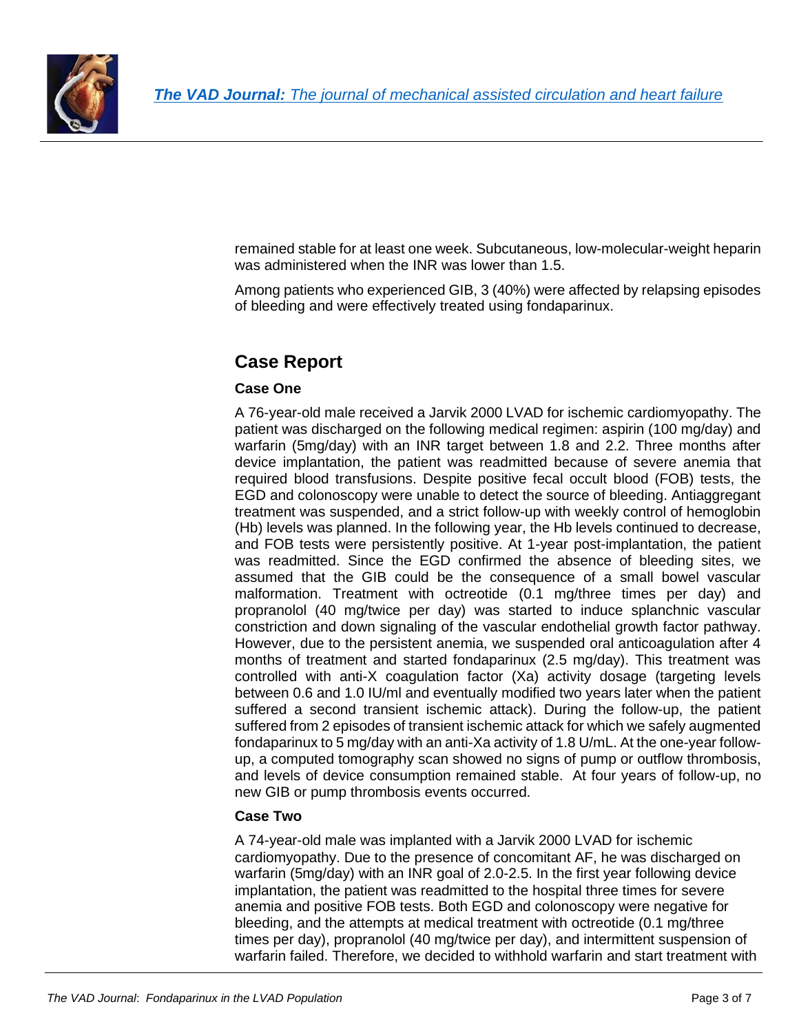

remained stable for at least one week. Subcutaneous, low-molecular-weight heparin was administered when the INR was lower than 1.5.

Among patients who experienced GIB, 3 (40%) were affected by relapsing episodes of bleeding and were effectively treated using fondaparinux.

# **Case Report**

#### **Case One**

A 76-year-old male received a Jarvik 2000 LVAD for ischemic cardiomyopathy. The patient was discharged on the following medical regimen: aspirin (100 mg/day) and warfarin (5mg/day) with an INR target between 1.8 and 2.2. Three months after device implantation, the patient was readmitted because of severe anemia that required blood transfusions. Despite positive fecal occult blood (FOB) tests, the EGD and colonoscopy were unable to detect the source of bleeding. Antiaggregant treatment was suspended, and a strict follow-up with weekly control of hemoglobin (Hb) levels was planned. In the following year, the Hb levels continued to decrease, and FOB tests were persistently positive. At 1-year post-implantation, the patient was readmitted. Since the EGD confirmed the absence of bleeding sites, we assumed that the GIB could be the consequence of a small bowel vascular malformation. Treatment with octreotide (0.1 mg/three times per day) and propranolol (40 mg/twice per day) was started to induce splanchnic vascular constriction and down signaling of the vascular endothelial growth factor pathway. However, due to the persistent anemia, we suspended oral anticoagulation after 4 months of treatment and started fondaparinux (2.5 mg/day). This treatment was controlled with anti-X coagulation factor (Xa) activity dosage (targeting levels between 0.6 and 1.0 IU/ml and eventually modified two years later when the patient suffered a second transient ischemic attack). During the follow-up, the patient suffered from 2 episodes of transient ischemic attack for which we safely augmented fondaparinux to 5 mg/day with an anti-Xa activity of 1.8 U/mL. At the one-year followup, a computed tomography scan showed no signs of pump or outflow thrombosis, and levels of device consumption remained stable. At four years of follow-up, no new GIB or pump thrombosis events occurred.

#### **Case Two**

A 74-year-old male was implanted with a Jarvik 2000 LVAD for ischemic cardiomyopathy. Due to the presence of concomitant AF, he was discharged on warfarin (5mg/day) with an INR goal of 2.0-2.5. In the first year following device implantation, the patient was readmitted to the hospital three times for severe anemia and positive FOB tests. Both EGD and colonoscopy were negative for bleeding, and the attempts at medical treatment with octreotide (0.1 mg/three times per day), propranolol (40 mg/twice per day), and intermittent suspension of warfarin failed. Therefore, we decided to withhold warfarin and start treatment with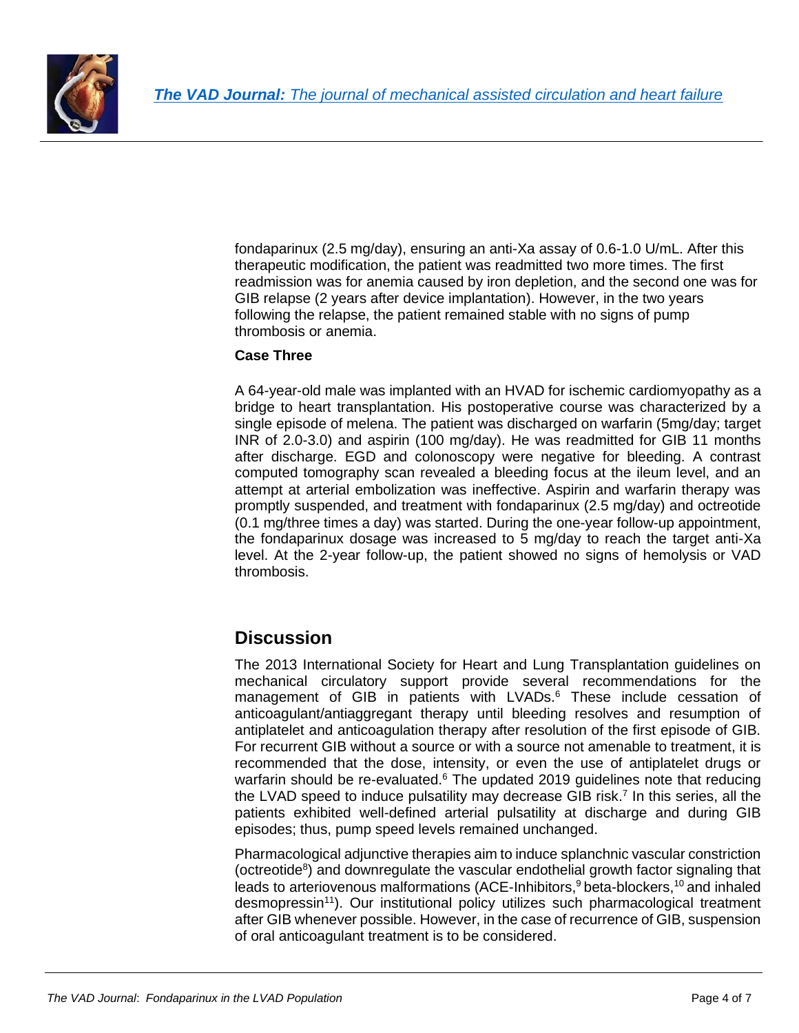

fondaparinux (2.5 mg/day), ensuring an anti-Xa assay of 0.6-1.0 U/mL. After this therapeutic modification, the patient was readmitted two more times. The first readmission was for anemia caused by iron depletion, and the second one was for GIB relapse (2 years after device implantation). However, in the two years following the relapse, the patient remained stable with no signs of pump thrombosis or anemia.

#### **Case Three**

A 64-year-old male was implanted with an HVAD for ischemic cardiomyopathy as a bridge to heart transplantation. His postoperative course was characterized by a single episode of melena. The patient was discharged on warfarin (5mg/day; target INR of 2.0-3.0) and aspirin (100 mg/day). He was readmitted for GIB 11 months after discharge. EGD and colonoscopy were negative for bleeding. A contrast computed tomography scan revealed a bleeding focus at the ileum level, and an attempt at arterial embolization was ineffective. Aspirin and warfarin therapy was promptly suspended, and treatment with fondaparinux (2.5 mg/day) and octreotide (0.1 mg/three times a day) was started. During the one-year follow-up appointment, the fondaparinux dosage was increased to 5 mg/day to reach the target anti-Xa level. At the 2-year follow-up, the patient showed no signs of hemolysis or VAD thrombosis.

### **Discussion**

The 2013 International Society for Heart and Lung Transplantation guidelines on mechanical circulatory support provide several recommendations for the management of GIB in patients with LVADs.<sup>6</sup> These include cessation of anticoagulant/antiaggregant therapy until bleeding resolves and resumption of antiplatelet and anticoagulation therapy after resolution of the first episode of GIB. For recurrent GIB without a source or with a source not amenable to treatment, it is recommended that the dose, intensity, or even the use of antiplatelet drugs or warfarin should be re-evaluated.<sup>6</sup> The updated 2019 guidelines note that reducing the LVAD speed to induce pulsatility may decrease GIB risk.<sup>7</sup> In this series, all the patients exhibited well-defined arterial pulsatility at discharge and during GIB episodes; thus, pump speed levels remained unchanged.

Pharmacological adjunctive therapies aim to induce splanchnic vascular constriction [\(octreotide](https://www.sciencedirect.com/topics/medicine-and-dentistry/octreotide)<sup>8</sup>) and downregulate the vascular endothelial growth factor signaling that leads to arteriovenous malformations (ACE-Inhibitors,<sup>9</sup> beta-blockers,<sup>10</sup> and inhaled desmopressin<sup>11</sup>). Our institutional policy utilizes such pharmacological treatment after GIB whenever possible. However, in the case of recurrence of GIB, suspension of oral anticoagulant treatment is to be considered.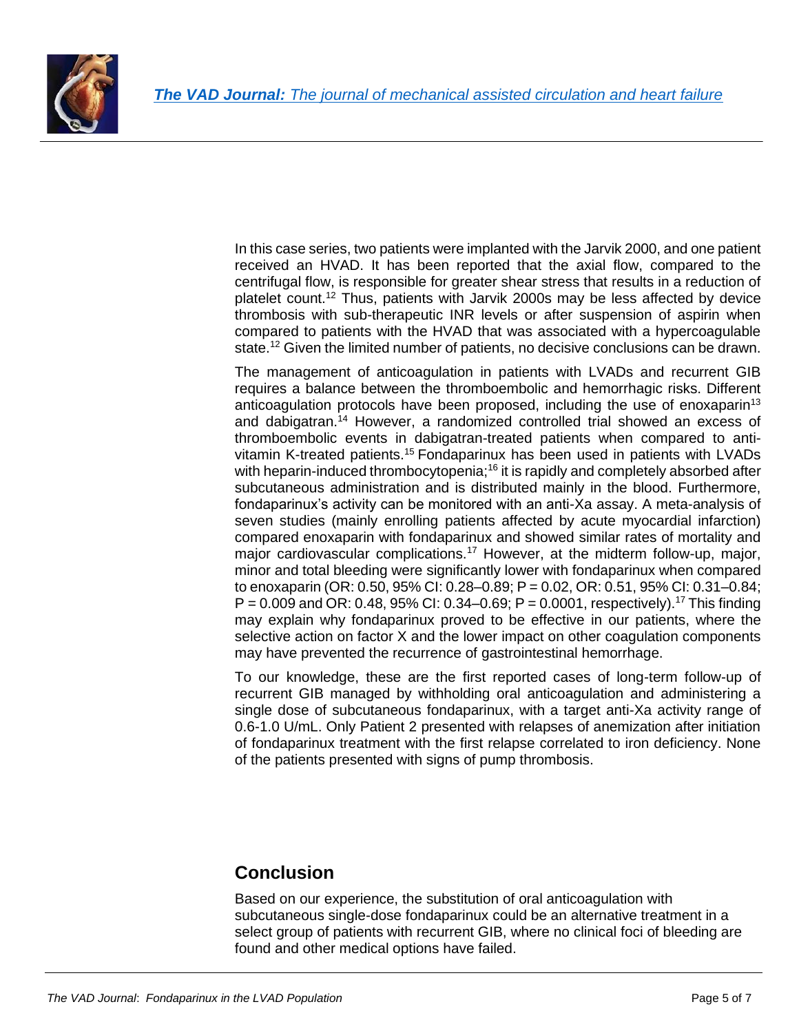

In this case series, two patients were implanted with the Jarvik 2000, and one patient received an HVAD. It has been reported that the axial flow, compared to the centrifugal flow, is responsible for greater shear stress that results in a reduction of platelet count.<sup>12</sup> Thus, patients with Jarvik 2000s may be less affected by device thrombosis with sub-therapeutic INR levels or after suspension of aspirin when compared to patients with the HVAD that was associated with a hypercoagulable state.<sup>12</sup> Given the limited number of patients, no decisive conclusions can be drawn.

The management of anticoagulation in patients with LVADs and recurrent GIB requires a balance between the thromboembolic and hemorrhagic risks. Different anticoagulation protocols have been proposed, including the use of enoxaparin<sup>13</sup> and dabigatran.<sup>14</sup> However, a randomized controlled trial showed an excess of thromboembolic events in dabigatran-treated patients when compared to antivitamin K-treated patients.<sup>15</sup> Fondaparinux has been used in patients with LVADs with heparin-induced thrombocytopenia;<sup>16</sup> it is rapidly and completely absorbed after subcutaneous administration and is distributed mainly in the blood. Furthermore, fondaparinux's activity can be monitored with an anti-Xa assay. A meta-analysis of seven studies (mainly enrolling patients affected by acute myocardial infarction) compared enoxaparin with fondaparinux and showed similar rates of mortality and major cardiovascular complications.<sup>17</sup> However, at the midterm follow-up, major, minor and total bleeding were significantly lower with fondaparinux when compared to enoxaparin (OR: 0.50, 95% CI: 0.28–0.89; P = 0.02, OR: 0.51, 95% CI: 0.31–0.84;  $P = 0.009$  and OR: 0.48, 95% CI: 0.34–0.69; P = 0.0001, respectively).<sup>17</sup> This finding may explain why fondaparinux proved to be effective in our patients, where the selective action on factor X and the lower impact on other coagulation components may have prevented the recurrence of gastrointestinal hemorrhage.

To our knowledge, these are the first reported cases of long-term follow-up of recurrent GIB managed by withholding oral anticoagulation and administering a single dose of subcutaneous fondaparinux, with a target anti-Xa activity range of 0.6-1.0 U/mL. Only Patient 2 presented with relapses of anemization after initiation of fondaparinux treatment with the first relapse correlated to iron deficiency. None of the patients presented with signs of pump thrombosis.

## **Conclusion**

Based on our experience, the substitution of oral anticoagulation with subcutaneous single-dose fondaparinux could be an alternative treatment in a select group of patients with recurrent GIB, where no clinical foci of bleeding are found and other medical options have failed.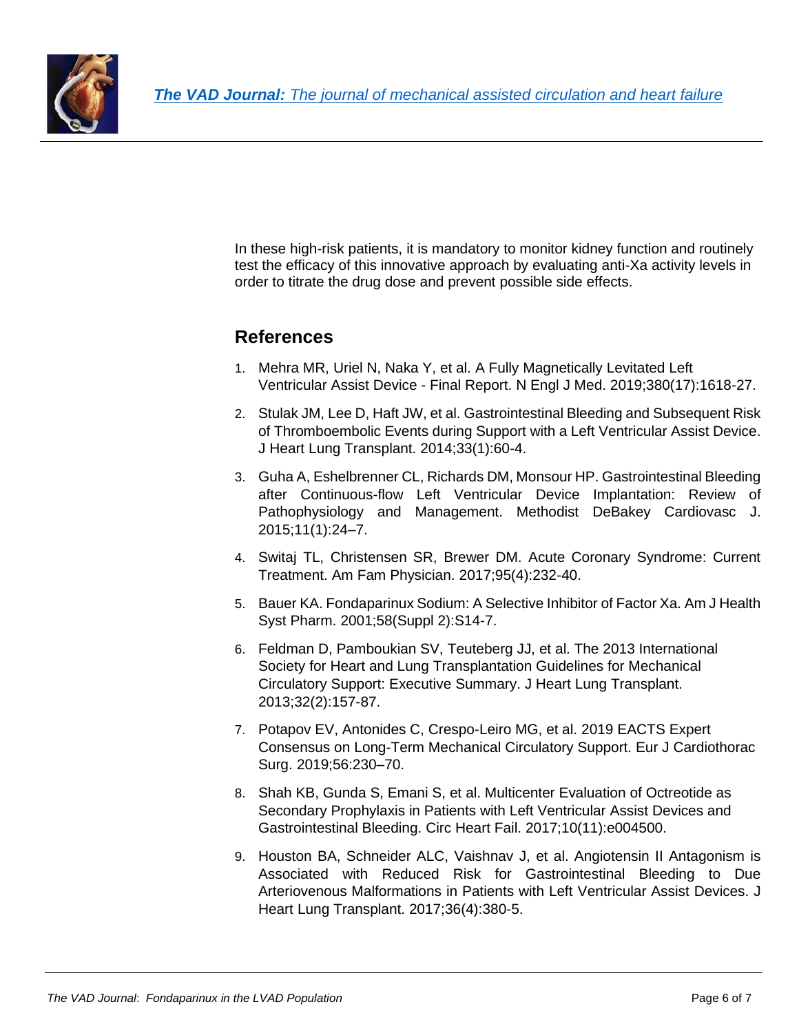

In these high-risk patients, it is mandatory to monitor kidney function and routinely test the efficacy of this innovative approach by evaluating anti-Xa activity levels in order to titrate the drug dose and prevent possible side effects.

### **References**

- 1. Mehra MR, Uriel N, Naka Y, et al. A Fully Magnetically Levitated Left Ventricular Assist Device - Final Report. N Engl J Med. 2019;380(17):1618-27.
- 2. Stulak JM, Lee D, Haft JW, et al. Gastrointestinal Bleeding and Subsequent Risk of Thromboembolic Events during Support with a Left Ventricular Assist Device. J Heart Lung Transplant. 2014;33(1):60-4.
- 3. Guha A, Eshelbrenner CL, Richards DM, Monsour HP. Gastrointestinal Bleeding after Continuous-flow Left Ventricular Device Implantation: Review of Pathophysiology and Management. Methodist DeBakey Cardiovasc J. 2015;11(1):24–7.
- 4. Switaj TL, Christensen SR, Brewer DM. Acute Coronary Syndrome: Current Treatment. Am Fam Physician. 2017;95(4):232-40.
- 5. Bauer KA. Fondaparinux Sodium: A Selective Inhibitor of Factor Xa. Am J Health Syst Pharm. 2001;58(Suppl 2):S14-7.
- 6. Feldman D, Pamboukian SV, Teuteberg JJ, et al. The 2013 International Society for Heart and Lung Transplantation Guidelines for Mechanical Circulatory Support: Executive Summary. J Heart Lung Transplant. 2013;32(2):157-87.
- 7. Potapov EV, Antonides C, Crespo-Leiro MG, et al. 2019 EACTS Expert Consensus on Long-Term Mechanical Circulatory Support. Eur J Cardiothorac Surg. 2019;56:230–70.
- 8. Shah KB, Gunda S, Emani S, et al. Multicenter Evaluation of Octreotide as Secondary Prophylaxis in Patients with Left Ventricular Assist Devices and Gastrointestinal Bleeding. Circ Heart Fail. 2017;10(11):e004500.
- 9. Houston BA, Schneider ALC, Vaishnav J, et al. Angiotensin II Antagonism is Associated with Reduced Risk for Gastrointestinal Bleeding to Due Arteriovenous Malformations in Patients with Left Ventricular Assist Devices. J Heart Lung Transplant. 2017;36(4):380-5.